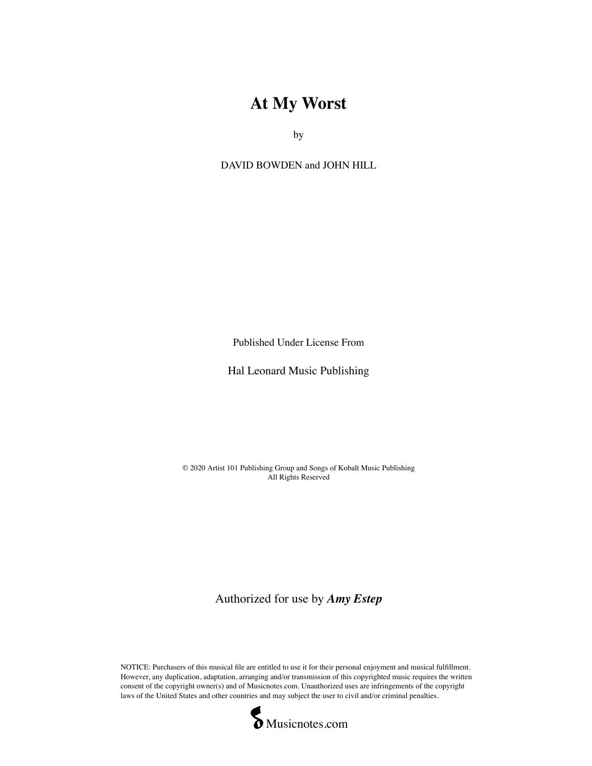## **At My Worst**

by

DAVID BOWDEN and JOHN HILL

Published Under License From

Hal Leonard Music Publishing

© 2020 Artist 101 Publishing Group and Songs of Kobalt Music Publishing All Rights Reserved

Authorized for use by *Amy Estep*

NOTICE: Purchasers of this musical file are entitled to use it for their personal enjoyment and musical fulfillment. However, any duplication, adaptation, arranging and/or transmission of this copyrighted music requires the written consent of the copyright owner(s) and of Musicnotes.com. Unauthorized uses are infringements of the copyright laws of the United States and other countries and may subject the user to civil and/or criminal penalties.<br>
Musicnotes.com

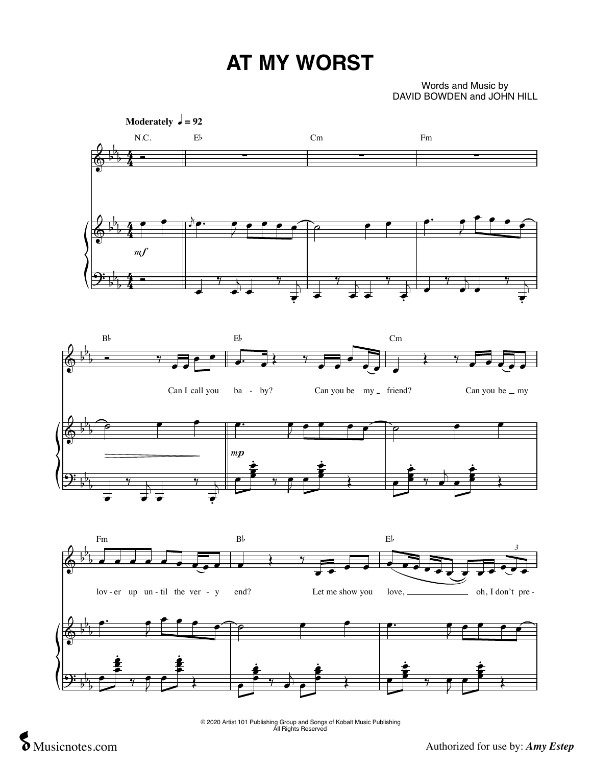## **AT MY WORST**

## Words and Music by DAVID BOWDEN and JOHN HILL



© 2020 Artist 101 Publishing Group and Songs of Kobalt Music Publishing All Rights Reserved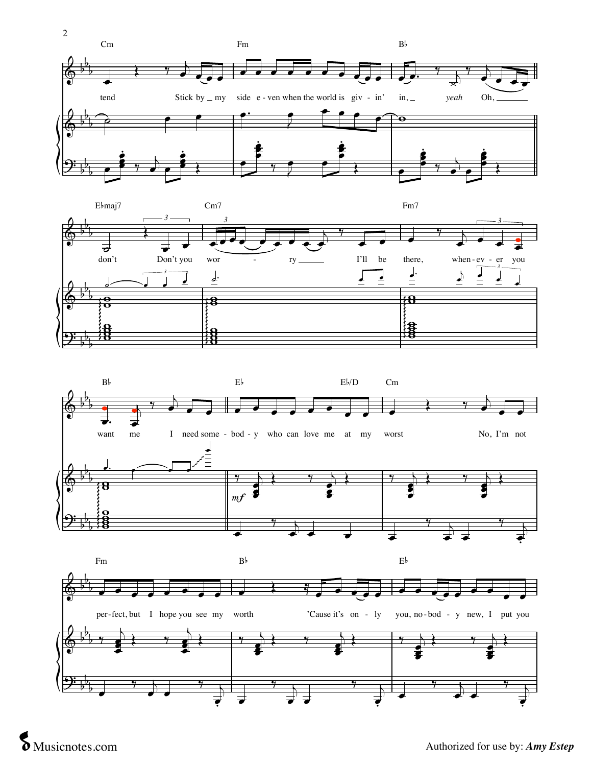







 $\blacksquare$  '  $\blacksquare$  '  $\blacksquare$  '  $\blacksquare$  '  $\blacksquare$  '  $\blacksquare$  '  $\blacksquare$  '  $\blacksquare$  '  $\blacksquare$  '  $\blacksquare$  '  $\blacksquare$  '  $\blacksquare$  '  $\blacksquare$  '  $\blacksquare$  '  $\blacksquare$  '  $\blacksquare$  '  $\blacksquare$  '  $\blacksquare$  '  $\blacksquare$  '  $\blacksquare$  '  $\blacksquare$  '  $\blacksquare$  '  $\blacksquare$  '  $\blacksquare$  '  $\blacksquare$ 

**S** Musicnotes.com Authorized for use by: *Amy Estep*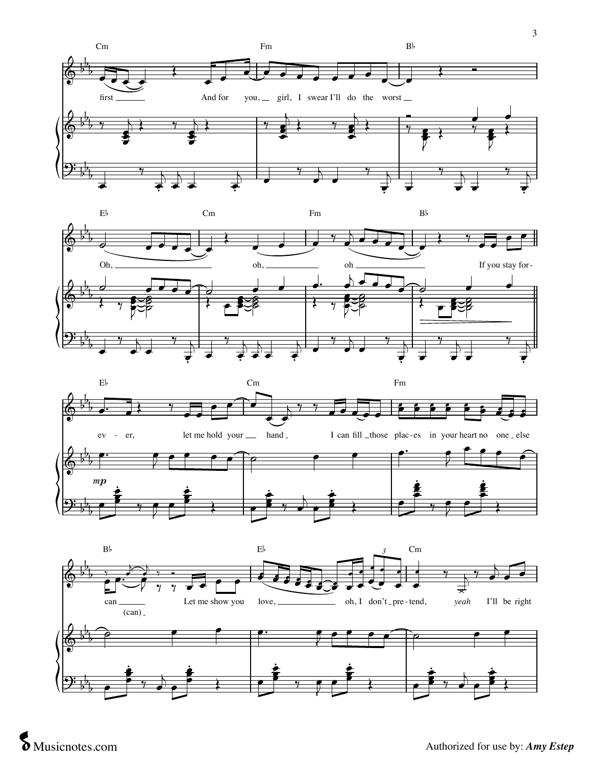





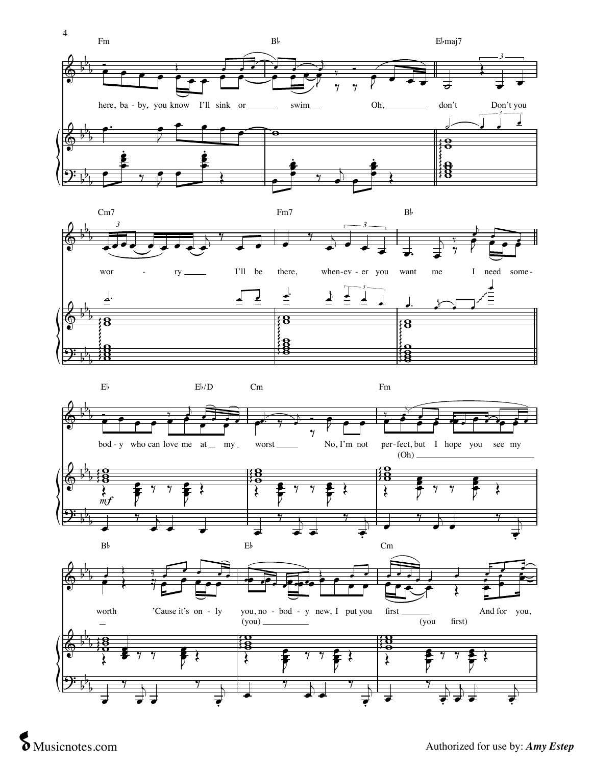









 $\blacksquare$  ''  $\blacksquare$  ''  $\blacksquare$  ''  $\blacksquare$  ''  $\blacksquare$  ''  $\blacksquare$  ''  $\blacksquare$  ''  $\blacksquare$  ''  $\blacksquare$  ''  $\blacksquare$  ''  $\blacksquare$  ''  $\blacksquare$  ''  $\blacksquare$  ''  $\blacksquare$  ''  $\blacksquare$  ''  $\blacksquare$  ''  $\blacksquare$  ''  $\blacksquare$  ''  $\blacksquare$  ''  $\blacksquare$  ''  $\blacksquare$  ''  $\blacksquare$  ''

' '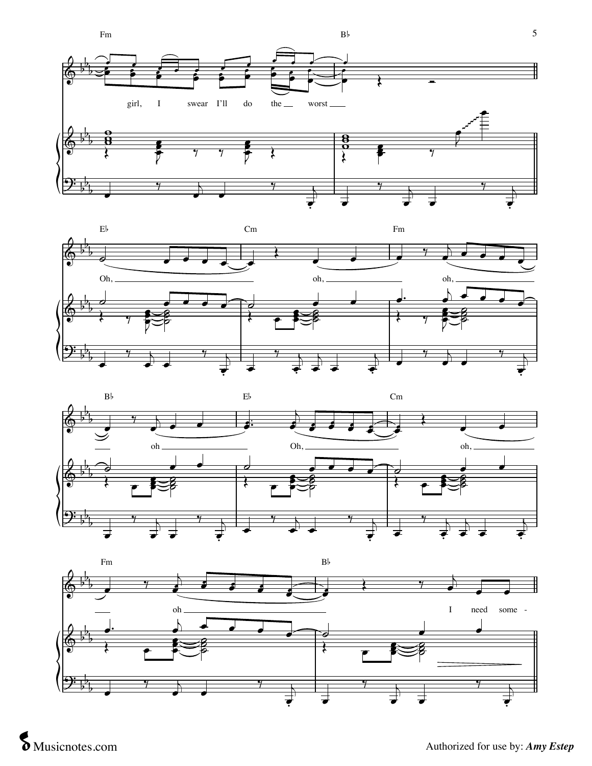